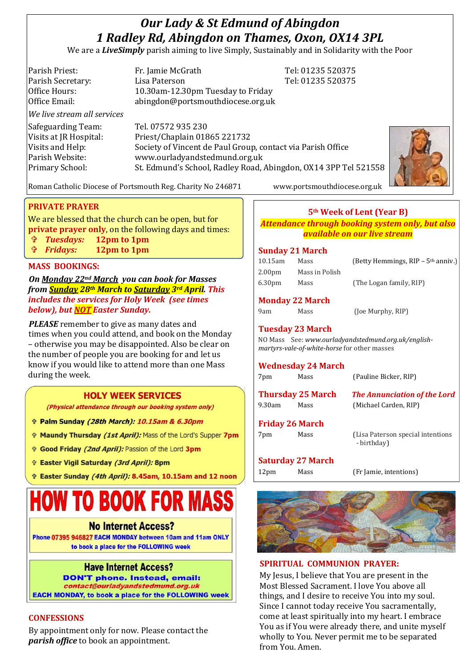# *Our Lady & St Edmund of Abingdon 1 Radley Rd, Abingdon on Thames, Oxon, OX14 3PL*

We are a *LiveSimply* parish aiming to live Simply, Sustainably and in Solidarity with the Poor

Parish Priest: Fr. Jamie McGrath Tel: 01235 520375 Parish Secretary: Tel: 01235 520375 Office Hours: 10.30am-12.30pm Tuesday to Friday Office Email: abingdon@portsmouthdiocese.org.uk *We live stream all services* Safeguarding Team: Tel. 07572 935 230 Visits at JR Hospital: Priest/Chaplain 01865 221732 Visits and Help: Society of Vincent de Paul Group, contact via Parish Office Parish Website: www.ourladyandstedmund.org.uk Primary School: St. Edmund's School, Radley Road, Abingdon, OX14 3PP Tel 521558



Roman Catholic Diocese of Portsmouth Reg. Charity No 246871 www.portsmouthdiocese.org.uk

## **PRIVATE PRAYER**

We are blessed that the church can be open, but for **private prayer only**, on the following days and times:

- *Tuesdays:* **12pm to 1pm**
- *Fridays:* **12pm to 1pm**

## **MASS BOOKINGS:**

*On Monday 22nd March you can book for Masses from Sunday 28th March to Saturday 3rd April. This includes the services for Holy Week (see times below), but NOT Easter Sunday.*

*PLEASE* remember to give as many dates and times when you could attend, and book on the Monday – otherwise you may be disappointed. Also be clear on the number of people you are booking for and let us know if you would like to attend more than one Mass during the week.

## **HOLY WEEK SERVICES**

(Physical attendance through our booking system only)

- <sup>+</sup> Palm Sunday (28th March): 10.15am & 6.30pm
- <sup>+</sup> Maundy Thursday *(1st April):* Mass of the Lord's Supper 7pm
- <sup>+</sup> Good Friday (2nd April): Passion of the Lord 3pm
- <sup>+</sup> Easter Vigil Saturday (3rd April): 8pm
- + Easter Sunday (4th April): 8.45am, 10.15am and 12 noon

# **How to book for mass**

### **No Internet Access?**

Phone 07395 946827 EACH MONDAY between 10am and 11am ONLY to book a place for the FOLLOWING week

## **Have Internet Access?**

**DON'T phone. Instead, email:** contact@ourladyandstedmund.org.uk **EACH MONDAY, to book a place for the FOLLOWING week** 

## **CONFESSIONS**

By appointment only for now. Please contact the *parish office* to book an appointment.

## **5th Week of Lent (Year B)**

*Attendance through booking system only, but also available on our live stream*

### **Sunday 21 March**

| 10.15am            | Mass           |
|--------------------|----------------|
| 2.00 <sub>pm</sub> | Mass in Polish |
| 6.30pm             | Mass           |

 $($ Betty Hemmings, RIP – 5<sup>th</sup> anniv.)

(The Logan family, RIP)

## **Monday 22 March**

9am Mass (Joe Murphy, RIP)

## **Tuesday 23 March**

NO Mass See: *www.ourladyandstedmund.org.uk/englishmartyrs-vale-of-white-horse* for other masses

**Wednesday 24 March**  7pm Mass (Pauline Bicker, RIP)

**Thursday 25 March** *The Annunciation of the Lord* 9.30am Mass (Michael Carden, RIP)

## **Friday 26 March**

7pm Mass (Lisa Paterson special intentions - birthday)

# **Saturday 27 March**





## **SPIRITUAL COMMUNION PRAYER:**

My Jesus, I believe that You are present in the Most Blessed Sacrament. I love You above all things, and I desire to receive You into my soul. Since I cannot today receive You sacramentally, come at least spiritually into my heart. I embrace You as if You were already there, and unite myself wholly to You. Never permit me to be separated from You. Amen.